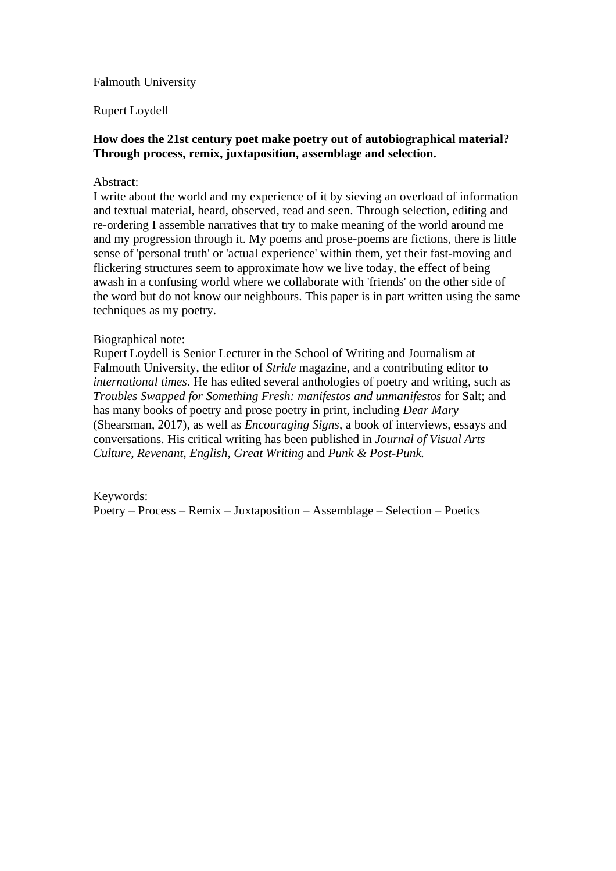### Falmouth University

#### Rupert Loydell

## **How does the 21st century poet make poetry out of autobiographical material? Through process, remix, juxtaposition, assemblage and selection.**

### Abstract:

I write about the world and my experience of it by sieving an overload of information and textual material, heard, observed, read and seen. Through selection, editing and re-ordering I assemble narratives that try to make meaning of the world around me and my progression through it. My poems and prose-poems are fictions, there is little sense of 'personal truth' or 'actual experience' within them, yet their fast-moving and flickering structures seem to approximate how we live today, the effect of being awash in a confusing world where we collaborate with 'friends' on the other side of the word but do not know our neighbours. This paper is in part written using the same techniques as my poetry.

### Biographical note:

Rupert Loydell is Senior Lecturer in the School of Writing and Journalism at Falmouth University, the editor of *Stride* magazine, and a contributing editor to *international times*. He has edited several anthologies of poetry and writing, such as *Troubles Swapped for Something Fresh: manifestos and unmanifestos* for Salt; and has many books of poetry and prose poetry in print, including *Dear Mary* (Shearsman, 2017), as well as *Encouraging Signs*, a book of interviews, essays and conversations. His critical writing has been published in *Journal of Visual Arts Culture*, *Revenant*, *English*, *Great Writing* and *Punk & Post-Punk.*

Keywords: Poetry – Process – Remix – Juxtaposition – Assemblage – Selection – Poetics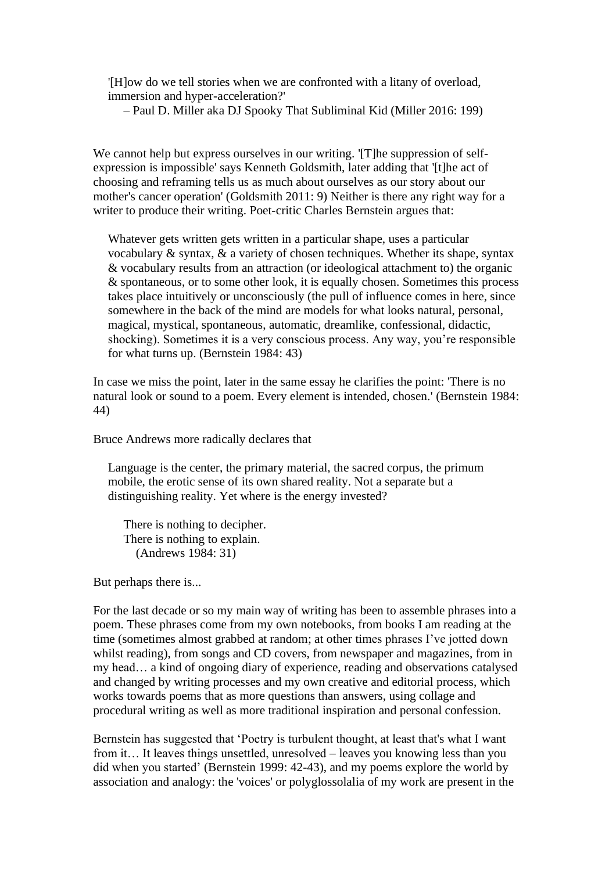'[H]ow do we tell stories when we are confronted with a litany of overload, immersion and hyper-acceleration?'

– Paul D. Miller aka DJ Spooky That Subliminal Kid (Miller 2016: 199)

We cannot help but express ourselves in our writing. '[T]he suppression of selfexpression is impossible' says Kenneth Goldsmith, later adding that '[t]he act of choosing and reframing tells us as much about ourselves as our story about our mother's cancer operation' (Goldsmith 2011: 9) Neither is there any right way for a writer to produce their writing. Poet-critic Charles Bernstein argues that:

Whatever gets written gets written in a particular shape, uses a particular vocabulary & syntax, & a variety of chosen techniques. Whether its shape, syntax & vocabulary results from an attraction (or ideological attachment to) the organic & spontaneous, or to some other look, it is equally chosen. Sometimes this process takes place intuitively or unconsciously (the pull of influence comes in here, since somewhere in the back of the mind are models for what looks natural, personal, magical, mystical, spontaneous, automatic, dreamlike, confessional, didactic, shocking). Sometimes it is a very conscious process. Any way, you're responsible for what turns up. (Bernstein 1984: 43)

In case we miss the point, later in the same essay he clarifies the point: 'There is no natural look or sound to a poem. Every element is intended, chosen.' (Bernstein 1984: 44)

Bruce Andrews more radically declares that

Language is the center, the primary material, the sacred corpus, the primum mobile, the erotic sense of its own shared reality. Not a separate but a distinguishing reality. Yet where is the energy invested?

 There is nothing to decipher. There is nothing to explain. (Andrews 1984: 31)

But perhaps there is...

For the last decade or so my main way of writing has been to assemble phrases into a poem. These phrases come from my own notebooks, from books I am reading at the time (sometimes almost grabbed at random; at other times phrases I've jotted down whilst reading), from songs and CD covers, from newspaper and magazines, from in my head… a kind of ongoing diary of experience, reading and observations catalysed and changed by writing processes and my own creative and editorial process, which works towards poems that as more questions than answers, using collage and procedural writing as well as more traditional inspiration and personal confession.

Bernstein has suggested that 'Poetry is turbulent thought, at least that's what I want from it… It leaves things unsettled, unresolved – leaves you knowing less than you did when you started' (Bernstein 1999: 42-43), and my poems explore the world by association and analogy: the 'voices' or polyglossolalia of my work are present in the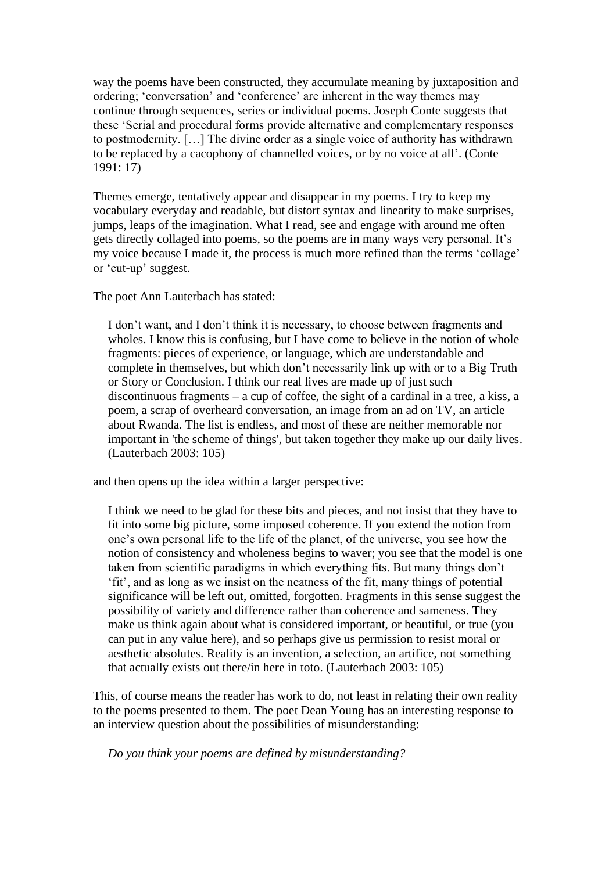way the poems have been constructed, they accumulate meaning by juxtaposition and ordering; 'conversation' and 'conference' are inherent in the way themes may continue through sequences, series or individual poems. Joseph Conte suggests that these 'Serial and procedural forms provide alternative and complementary responses to postmodernity. […] The divine order as a single voice of authority has withdrawn to be replaced by a cacophony of channelled voices, or by no voice at all'. (Conte 1991: 17)

Themes emerge, tentatively appear and disappear in my poems. I try to keep my vocabulary everyday and readable, but distort syntax and linearity to make surprises, jumps, leaps of the imagination. What I read, see and engage with around me often gets directly collaged into poems, so the poems are in many ways very personal. It's my voice because I made it, the process is much more refined than the terms 'collage' or 'cut-up' suggest.

The poet Ann Lauterbach has stated:

I don't want, and I don't think it is necessary, to choose between fragments and wholes. I know this is confusing, but I have come to believe in the notion of whole fragments: pieces of experience, or language, which are understandable and complete in themselves, but which don't necessarily link up with or to a Big Truth or Story or Conclusion. I think our real lives are made up of just such discontinuous fragments – a cup of coffee, the sight of a cardinal in a tree, a kiss, a poem, a scrap of overheard conversation, an image from an ad on TV, an article about Rwanda. The list is endless, and most of these are neither memorable nor important in 'the scheme of things', but taken together they make up our daily lives. (Lauterbach 2003: 105)

and then opens up the idea within a larger perspective:

I think we need to be glad for these bits and pieces, and not insist that they have to fit into some big picture, some imposed coherence. If you extend the notion from one's own personal life to the life of the planet, of the universe, you see how the notion of consistency and wholeness begins to waver; you see that the model is one taken from scientific paradigms in which everything fits. But many things don't 'fit', and as long as we insist on the neatness of the fit, many things of potential significance will be left out, omitted, forgotten. Fragments in this sense suggest the possibility of variety and difference rather than coherence and sameness. They make us think again about what is considered important, or beautiful, or true (you can put in any value here), and so perhaps give us permission to resist moral or aesthetic absolutes. Reality is an invention, a selection, an artifice, not something that actually exists out there/in here in toto. (Lauterbach 2003: 105)

This, of course means the reader has work to do, not least in relating their own reality to the poems presented to them. The poet Dean Young has an interesting response to an interview question about the possibilities of misunderstanding:

*Do you think your poems are defined by misunderstanding?*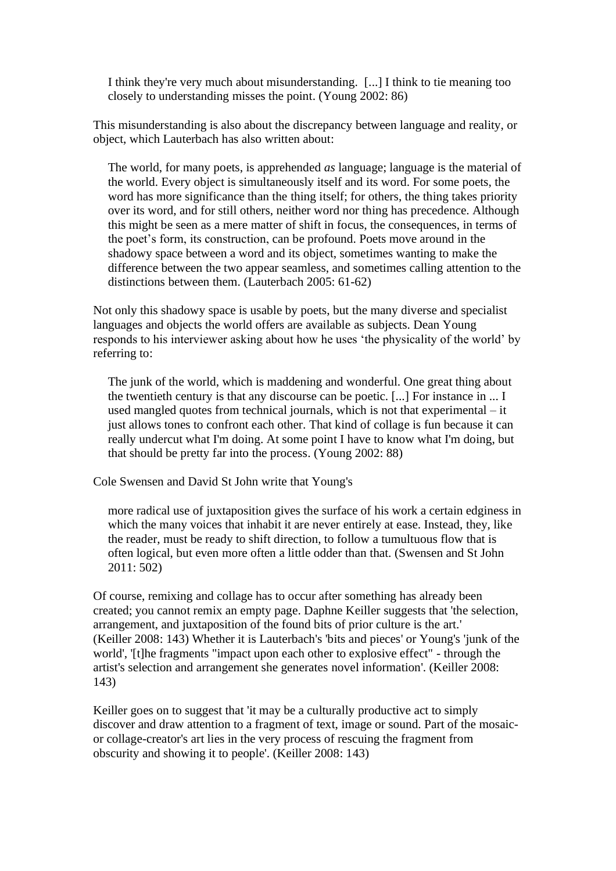I think they're very much about misunderstanding. [...] I think to tie meaning too closely to understanding misses the point. (Young 2002: 86)

This misunderstanding is also about the discrepancy between language and reality, or object, which Lauterbach has also written about:

The world, for many poets, is apprehended *as* language; language is the material of the world. Every object is simultaneously itself and its word. For some poets, the word has more significance than the thing itself; for others, the thing takes priority over its word, and for still others, neither word nor thing has precedence. Although this might be seen as a mere matter of shift in focus, the consequences, in terms of the poet's form, its construction, can be profound. Poets move around in the shadowy space between a word and its object, sometimes wanting to make the difference between the two appear seamless, and sometimes calling attention to the distinctions between them. (Lauterbach 2005: 61-62)

Not only this shadowy space is usable by poets, but the many diverse and specialist languages and objects the world offers are available as subjects. Dean Young responds to his interviewer asking about how he uses 'the physicality of the world' by referring to:

The junk of the world, which is maddening and wonderful. One great thing about the twentieth century is that any discourse can be poetic. [...] For instance in ... I used mangled quotes from technical journals, which is not that experimental – it just allows tones to confront each other. That kind of collage is fun because it can really undercut what I'm doing. At some point I have to know what I'm doing, but that should be pretty far into the process. (Young 2002: 88)

Cole Swensen and David St John write that Young's

more radical use of juxtaposition gives the surface of his work a certain edginess in which the many voices that inhabit it are never entirely at ease. Instead, they, like the reader, must be ready to shift direction, to follow a tumultuous flow that is often logical, but even more often a little odder than that. (Swensen and St John 2011: 502)

Of course, remixing and collage has to occur after something has already been created; you cannot remix an empty page. Daphne Keiller suggests that 'the selection, arrangement, and juxtaposition of the found bits of prior culture is the art.' (Keiller 2008: 143) Whether it is Lauterbach's 'bits and pieces' or Young's 'junk of the world', '[t]he fragments "impact upon each other to explosive effect" - through the artist's selection and arrangement she generates novel information'. (Keiller 2008: 143)

Keiller goes on to suggest that 'it may be a culturally productive act to simply discover and draw attention to a fragment of text, image or sound. Part of the mosaicor collage-creator's art lies in the very process of rescuing the fragment from obscurity and showing it to people'. (Keiller 2008: 143)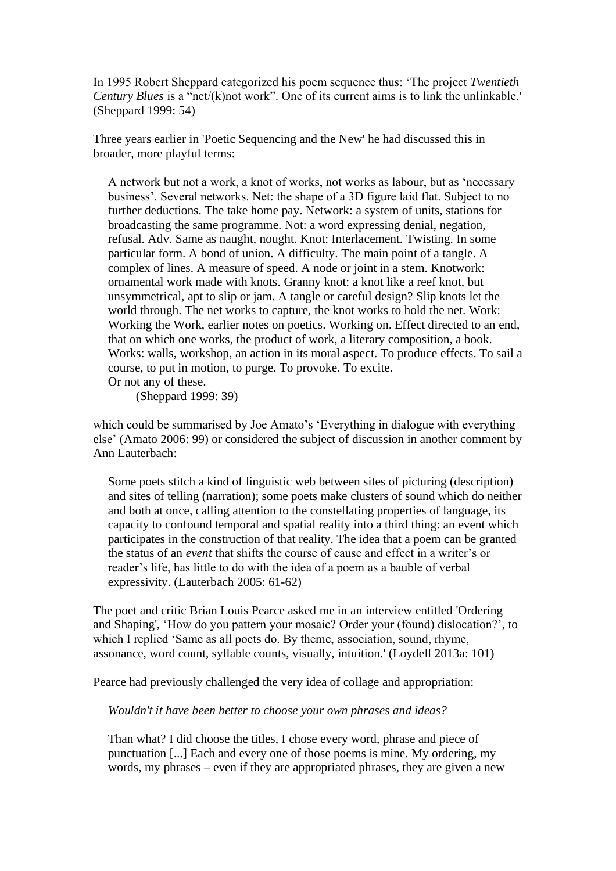In 1995 Robert Sheppard categorized his poem sequence thus: 'The project *Twentieth Century Blues* is a "net/(k)not work". One of its current aims is to link the unlinkable.' (Sheppard 1999: 54)

Three years earlier in 'Poetic Sequencing and the New' he had discussed this in broader, more playful terms:

A network but not a work, a knot of works, not works as labour, but as 'necessary business'. Several networks. Net: the shape of a 3D figure laid flat. Subject to no further deductions. The take home pay. Network: a system of units, stations for broadcasting the same programme. Not: a word expressing denial, negation, refusal. Adv. Same as naught, nought. Knot: Interlacement. Twisting. In some particular form. A bond of union. A difficulty. The main point of a tangle. A complex of lines. A measure of speed. A node or joint in a stem. Knotwork: ornamental work made with knots. Granny knot: a knot like a reef knot, but unsymmetrical, apt to slip or jam. A tangle or careful design? Slip knots let the world through. The net works to capture, the knot works to hold the net. Work: Working the Work, earlier notes on poetics. Working on. Effect directed to an end, that on which one works, the product of work, a literary composition, a book. Works: walls, workshop, an action in its moral aspect. To produce effects. To sail a course, to put in motion, to purge. To provoke. To excite. Or not any of these.

(Sheppard 1999: 39)

which could be summarised by Joe Amato's 'Everything in dialogue with everything else' (Amato 2006: 99) or considered the subject of discussion in another comment by Ann Lauterbach:

Some poets stitch a kind of linguistic web between sites of picturing (description) and sites of telling (narration); some poets make clusters of sound which do neither and both at once, calling attention to the constellating properties of language, its capacity to confound temporal and spatial reality into a third thing: an event which participates in the construction of that reality. The idea that a poem can be granted the status of an *event* that shifts the course of cause and effect in a writer's or reader's life, has little to do with the idea of a poem as a bauble of verbal expressivity. (Lauterbach 2005: 61-62)

The poet and critic Brian Louis Pearce asked me in an interview entitled 'Ordering and Shaping', 'How do you pattern your mosaic? Order your (found) dislocation?', to which I replied 'Same as all poets do. By theme, association, sound, rhyme, assonance, word count, syllable counts, visually, intuition.' (Loydell 2013a: 101)

Pearce had previously challenged the very idea of collage and appropriation:

#### *Wouldn't it have been better to choose your own phrases and ideas?*

Than what? I did choose the titles, I chose every word, phrase and piece of punctuation [...] Each and every one of those poems is mine. My ordering, my words, my phrases – even if they are appropriated phrases, they are given a new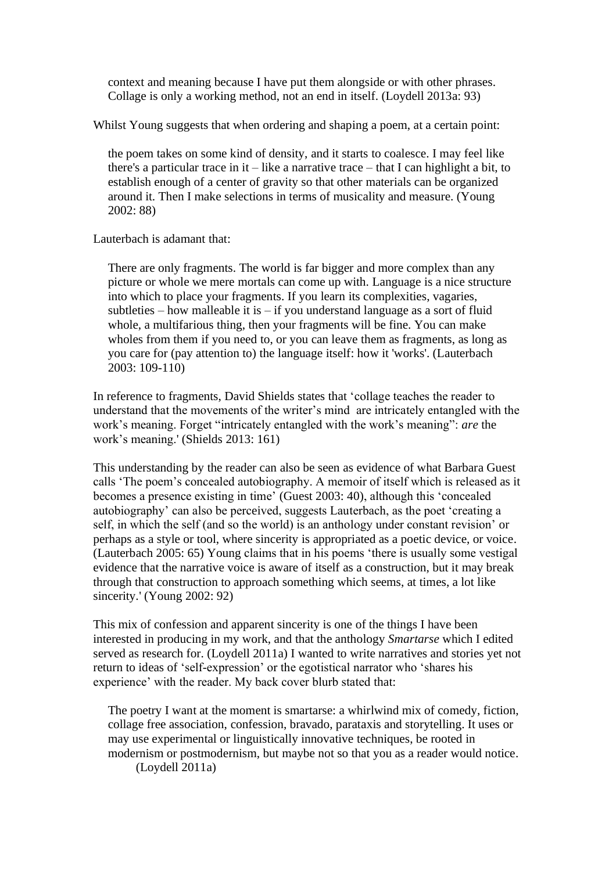context and meaning because I have put them alongside or with other phrases. Collage is only a working method, not an end in itself. (Loydell 2013a: 93)

Whilst Young suggests that when ordering and shaping a poem, at a certain point:

the poem takes on some kind of density, and it starts to coalesce. I may feel like there's a particular trace in it – like a narrative trace – that I can highlight a bit, to establish enough of a center of gravity so that other materials can be organized around it. Then I make selections in terms of musicality and measure. (Young 2002: 88)

Lauterbach is adamant that:

There are only fragments. The world is far bigger and more complex than any picture or whole we mere mortals can come up with. Language is a nice structure into which to place your fragments. If you learn its complexities, vagaries, subtleties – how malleable it is – if you understand language as a sort of fluid whole, a multifarious thing, then your fragments will be fine. You can make wholes from them if you need to, or you can leave them as fragments, as long as you care for (pay attention to) the language itself: how it 'works'. (Lauterbach 2003: 109-110)

In reference to fragments, David Shields states that 'collage teaches the reader to understand that the movements of the writer's mind are intricately entangled with the work's meaning. Forget "intricately entangled with the work's meaning": *are* the work's meaning.' (Shields 2013: 161)

This understanding by the reader can also be seen as evidence of what Barbara Guest calls 'The poem's concealed autobiography. A memoir of itself which is released as it becomes a presence existing in time' (Guest 2003: 40), although this 'concealed autobiography' can also be perceived, suggests Lauterbach, as the poet 'creating a self, in which the self (and so the world) is an anthology under constant revision' or perhaps as a style or tool, where sincerity is appropriated as a poetic device, or voice. (Lauterbach 2005: 65) Young claims that in his poems 'there is usually some vestigal evidence that the narrative voice is aware of itself as a construction, but it may break through that construction to approach something which seems, at times, a lot like sincerity.' (Young 2002: 92)

This mix of confession and apparent sincerity is one of the things I have been interested in producing in my work, and that the anthology *Smartarse* which I edited served as research for. (Loydell 2011a) I wanted to write narratives and stories yet not return to ideas of 'self-expression' or the egotistical narrator who 'shares his experience' with the reader. My back cover blurb stated that:

The poetry I want at the moment is smartarse: a whirlwind mix of comedy, fiction, collage free association, confession, bravado, parataxis and storytelling. It uses or may use experimental or linguistically innovative techniques, be rooted in modernism or postmodernism, but maybe not so that you as a reader would notice. (Loydell 2011a)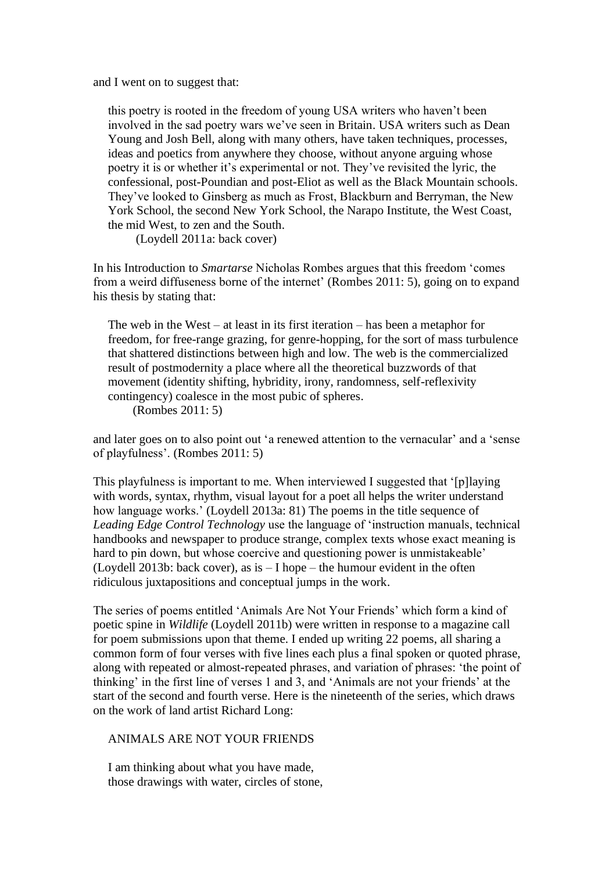and I went on to suggest that:

this poetry is rooted in the freedom of young USA writers who haven't been involved in the sad poetry wars we've seen in Britain. USA writers such as Dean Young and Josh Bell, along with many others, have taken techniques, processes, ideas and poetics from anywhere they choose, without anyone arguing whose poetry it is or whether it's experimental or not. They've revisited the lyric, the confessional, post-Poundian and post-Eliot as well as the Black Mountain schools. They've looked to Ginsberg as much as Frost, Blackburn and Berryman, the New York School, the second New York School, the Narapo Institute, the West Coast, the mid West, to zen and the South.

(Loydell 2011a: back cover)

In his Introduction to *Smartarse* Nicholas Rombes argues that this freedom 'comes from a weird diffuseness borne of the internet' (Rombes 2011: 5), going on to expand his thesis by stating that:

The web in the West – at least in its first iteration – has been a metaphor for freedom, for free-range grazing, for genre-hopping, for the sort of mass turbulence that shattered distinctions between high and low. The web is the commercialized result of postmodernity a place where all the theoretical buzzwords of that movement (identity shifting, hybridity, irony, randomness, self-reflexivity contingency) coalesce in the most pubic of spheres.

(Rombes 2011: 5)

and later goes on to also point out 'a renewed attention to the vernacular' and a 'sense of playfulness'. (Rombes 2011: 5)

This playfulness is important to me. When interviewed I suggested that '[p]laying with words, syntax, rhythm, visual layout for a poet all helps the writer understand how language works.' (Loydell 2013a: 81) The poems in the title sequence of *Leading Edge Control Technology* use the language of 'instruction manuals, technical handbooks and newspaper to produce strange, complex texts whose exact meaning is hard to pin down, but whose coercive and questioning power is unmistakeable' (Loydell 2013b: back cover), as is  $- I$  hope – the humour evident in the often ridiculous juxtapositions and conceptual jumps in the work.

The series of poems entitled 'Animals Are Not Your Friends' which form a kind of poetic spine in *Wildlife* (Loydell 2011b) were written in response to a magazine call for poem submissions upon that theme. I ended up writing 22 poems, all sharing a common form of four verses with five lines each plus a final spoken or quoted phrase, along with repeated or almost-repeated phrases, and variation of phrases: 'the point of thinking' in the first line of verses 1 and 3, and 'Animals are not your friends' at the start of the second and fourth verse. Here is the nineteenth of the series, which draws on the work of land artist Richard Long:

#### ANIMALS ARE NOT YOUR FRIENDS

I am thinking about what you have made, those drawings with water, circles of stone,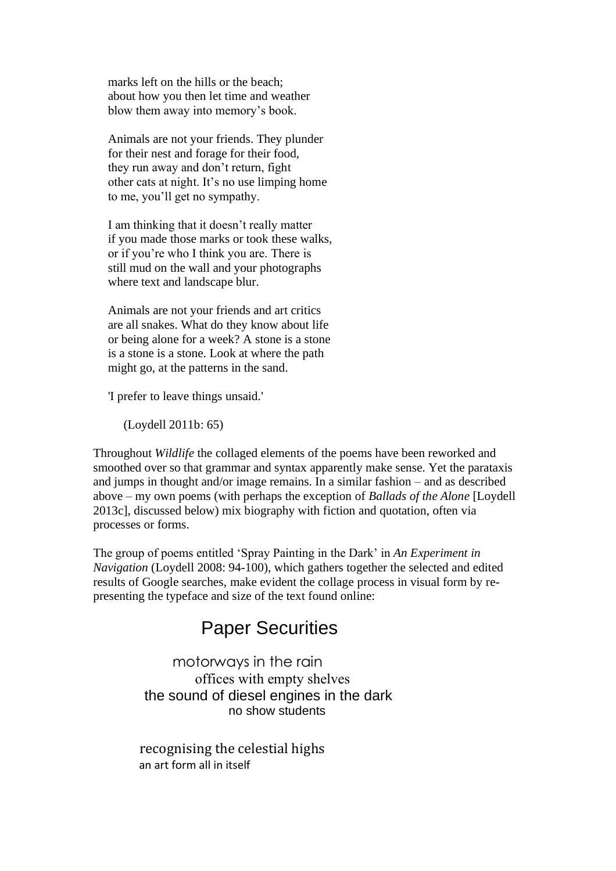marks left on the hills or the beach; about how you then let time and weather blow them away into memory's book.

Animals are not your friends. They plunder for their nest and forage for their food, they run away and don't return, fight other cats at night. It's no use limping home to me, you'll get no sympathy.

I am thinking that it doesn't really matter if you made those marks or took these walks, or if you're who I think you are. There is still mud on the wall and your photographs where text and landscape blur.

Animals are not your friends and art critics are all snakes. What do they know about life or being alone for a week? A stone is a stone is a stone is a stone. Look at where the path might go, at the patterns in the sand.

'I prefer to leave things unsaid.'

(Loydell 2011b: 65)

Throughout *Wildlife* the collaged elements of the poems have been reworked and smoothed over so that grammar and syntax apparently make sense. Yet the parataxis and jumps in thought and/or image remains. In a similar fashion – and as described above – my own poems (with perhaps the exception of *Ballads of the Alone* [Loydell 2013c], discussed below) mix biography with fiction and quotation, often via processes or forms.

The group of poems entitled 'Spray Painting in the Dark' in *An Experiment in Navigation* (Loydell 2008: 94-100), which gathers together the selected and edited results of Google searches, make evident the collage process in visual form by representing the typeface and size of the text found online:

# Paper Securities

 motorways in the rain offices with empty shelves the sound of diesel engines in the dark no show students

 recognising the celestial highs an art form all in itself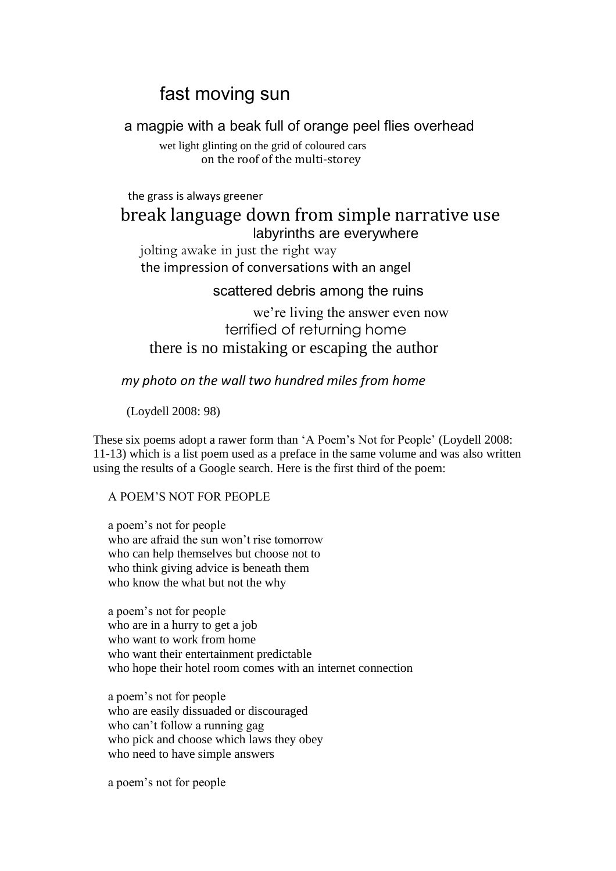# fast moving sun

# a magpie with a beak full of orange peel flies overhead

 wet light glinting on the grid of coloured cars on the roof of the multi-storey

## the grass is always greener

# break language down from simple narrative use

 labyrinths are everywhere jolting awake in just the right way

# the impression of conversations with an angel

## scattered debris among the ruins

 we're living the answer even now terrified of returning home there is no mistaking or escaping the author

## *my photo on the wall two hundred miles from home*

(Loydell 2008: 98)

These six poems adopt a rawer form than 'A Poem's Not for People' (Loydell 2008: 11-13) which is a list poem used as a preface in the same volume and was also written using the results of a Google search. Here is the first third of the poem:

## A POEM'S NOT FOR PEOPLE

a poem's not for people who are afraid the sun won't rise tomorrow who can help themselves but choose not to who think giving advice is beneath them who know the what but not the why

a poem's not for people who are in a hurry to get a job who want to work from home who want their entertainment predictable who hope their hotel room comes with an internet connection

a poem's not for people who are easily dissuaded or discouraged who can't follow a running gag who pick and choose which laws they obey who need to have simple answers

a poem's not for people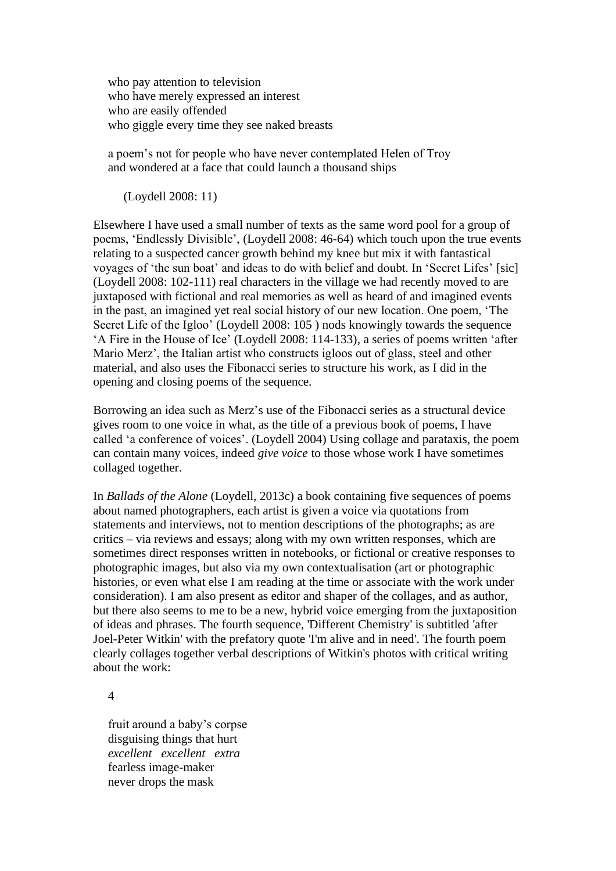who pay attention to television who have merely expressed an interest who are easily offended who giggle every time they see naked breasts

a poem's not for people who have never contemplated Helen of Troy and wondered at a face that could launch a thousand ships

(Loydell 2008: 11)

Elsewhere I have used a small number of texts as the same word pool for a group of poems, 'Endlessly Divisible', (Loydell 2008: 46-64) which touch upon the true events relating to a suspected cancer growth behind my knee but mix it with fantastical voyages of 'the sun boat' and ideas to do with belief and doubt. In 'Secret Lifes' [sic] (Loydell 2008: 102-111) real characters in the village we had recently moved to are juxtaposed with fictional and real memories as well as heard of and imagined events in the past, an imagined yet real social history of our new location. One poem, 'The Secret Life of the Igloo' (Loydell 2008: 105 ) nods knowingly towards the sequence 'A Fire in the House of Ice' (Loydell 2008: 114-133), a series of poems written 'after Mario Merz', the Italian artist who constructs igloos out of glass, steel and other material, and also uses the Fibonacci series to structure his work, as I did in the opening and closing poems of the sequence.

Borrowing an idea such as Merz's use of the Fibonacci series as a structural device gives room to one voice in what, as the title of a previous book of poems, I have called 'a conference of voices'. (Loydell 2004) Using collage and parataxis, the poem can contain many voices, indeed *give voice* to those whose work I have sometimes collaged together.

In *Ballads of the Alone* (Loydell, 2013c) a book containing five sequences of poems about named photographers, each artist is given a voice via quotations from statements and interviews, not to mention descriptions of the photographs; as are critics – via reviews and essays; along with my own written responses, which are sometimes direct responses written in notebooks, or fictional or creative responses to photographic images, but also via my own contextualisation (art or photographic histories, or even what else I am reading at the time or associate with the work under consideration). I am also present as editor and shaper of the collages, and as author, but there also seems to me to be a new, hybrid voice emerging from the juxtaposition of ideas and phrases. The fourth sequence, 'Different Chemistry' is subtitled 'after Joel-Peter Witkin' with the prefatory quote 'I'm alive and in need'. The fourth poem clearly collages together verbal descriptions of Witkin's photos with critical writing about the work:

4

fruit around a baby's corpse disguising things that hurt *excellent excellent extra* fearless image-maker never drops the mask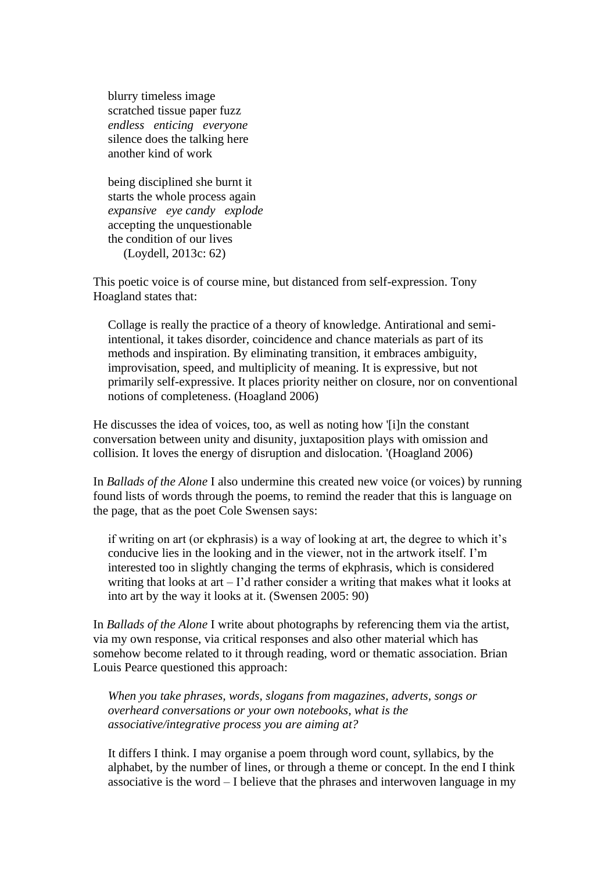blurry timeless image scratched tissue paper fuzz *endless enticing everyone* silence does the talking here another kind of work

being disciplined she burnt it starts the whole process again *expansive eye candy explode* accepting the unquestionable the condition of our lives (Loydell, 2013c: 62)

This poetic voice is of course mine, but distanced from self-expression. Tony Hoagland states that:

Collage is really the practice of a theory of knowledge. Antirational and semiintentional, it takes disorder, coincidence and chance materials as part of its methods and inspiration. By eliminating transition, it embraces ambiguity, improvisation, speed, and multiplicity of meaning. It is expressive, but not primarily self-expressive. It places priority neither on closure, nor on conventional notions of completeness. (Hoagland 2006)

He discusses the idea of voices, too, as well as noting how '[i]n the constant conversation between unity and disunity, juxtaposition plays with omission and collision. It loves the energy of disruption and dislocation. '(Hoagland 2006)

In *Ballads of the Alone* I also undermine this created new voice (or voices) by running found lists of words through the poems, to remind the reader that this is language on the page, that as the poet Cole Swensen says:

if writing on art (or ekphrasis) is a way of looking at art, the degree to which it's conducive lies in the looking and in the viewer, not in the artwork itself. I'm interested too in slightly changing the terms of ekphrasis, which is considered writing that looks at  $art - I'd$  rather consider a writing that makes what it looks at into art by the way it looks at it. (Swensen 2005: 90)

In *Ballads of the Alone* I write about photographs by referencing them via the artist, via my own response, via critical responses and also other material which has somehow become related to it through reading, word or thematic association. Brian Louis Pearce questioned this approach:

*When you take phrases, words, slogans from magazines, adverts, songs or overheard conversations or your own notebooks, what is the associative/integrative process you are aiming at?*

It differs I think. I may organise a poem through word count, syllabics, by the alphabet, by the number of lines, or through a theme or concept. In the end I think associative is the word – I believe that the phrases and interwoven language in my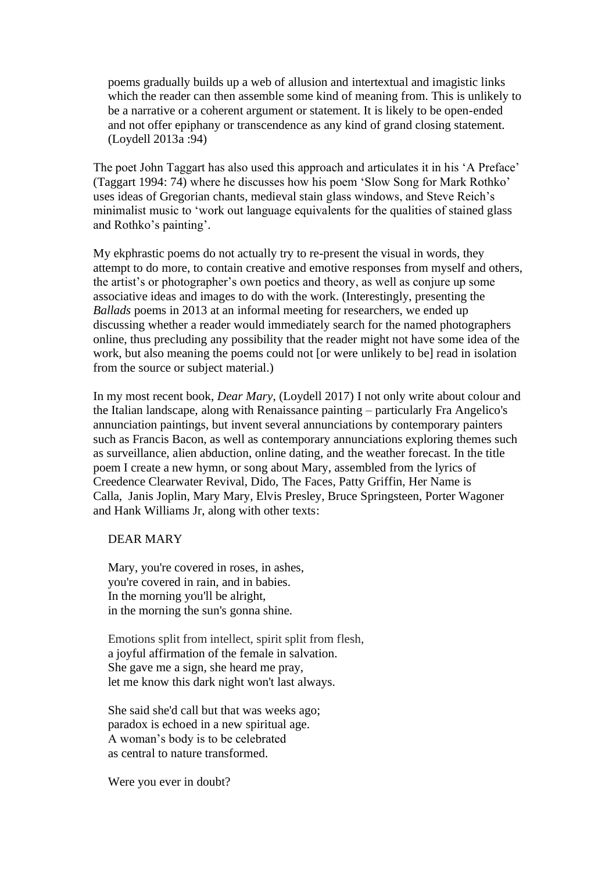poems gradually builds up a web of allusion and intertextual and imagistic links which the reader can then assemble some kind of meaning from. This is unlikely to be a narrative or a coherent argument or statement. It is likely to be open-ended and not offer epiphany or transcendence as any kind of grand closing statement. (Loydell 2013a :94)

The poet John Taggart has also used this approach and articulates it in his 'A Preface' (Taggart 1994: 74) where he discusses how his poem 'Slow Song for Mark Rothko' uses ideas of Gregorian chants, medieval stain glass windows, and Steve Reich's minimalist music to 'work out language equivalents for the qualities of stained glass and Rothko's painting'.

My ekphrastic poems do not actually try to re-present the visual in words, they attempt to do more, to contain creative and emotive responses from myself and others, the artist's or photographer's own poetics and theory, as well as conjure up some associative ideas and images to do with the work. (Interestingly, presenting the *Ballads* poems in 2013 at an informal meeting for researchers, we ended up discussing whether a reader would immediately search for the named photographers online, thus precluding any possibility that the reader might not have some idea of the work, but also meaning the poems could not [or were unlikely to be] read in isolation from the source or subject material.)

In my most recent book, *Dear Mary*, (Loydell 2017) I not only write about colour and the Italian landscape, along with Renaissance painting – particularly Fra Angelico's annunciation paintings, but invent several annunciations by contemporary painters such as Francis Bacon, as well as contemporary annunciations exploring themes such as surveillance, alien abduction, online dating, and the weather forecast. In the title poem I create a new hymn, or song about Mary, assembled from the lyrics of Creedence Clearwater Revival, Dido, The Faces, Patty Griffin, Her Name is Calla, Janis Joplin, Mary Mary, Elvis Presley, Bruce Springsteen, Porter Wagoner and Hank Williams Jr, along with other texts:

### DEAR MARY

Mary, you're covered in roses, in ashes, you're covered in rain, and in babies. In the morning you'll be alright, in the morning the sun's gonna shine.

Emotions split from intellect, spirit split from flesh, a joyful affirmation of the female in salvation. She gave me a sign, she heard me pray, let me know this dark night won't last always.

She said she'd call but that was weeks ago; paradox is echoed in a new spiritual age. A woman's body is to be celebrated as central to nature transformed.

Were you ever in doubt?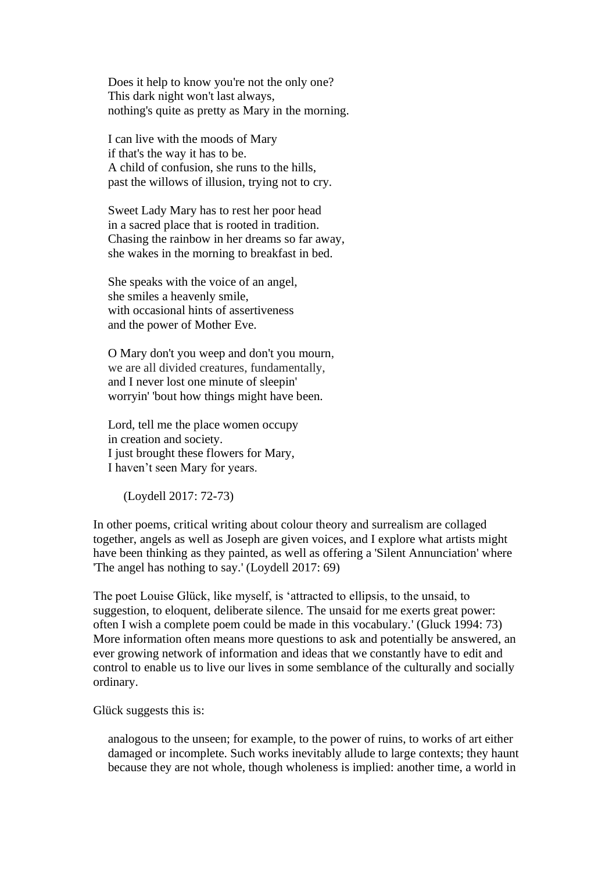Does it help to know you're not the only one? This dark night won't last always, nothing's quite as pretty as Mary in the morning.

I can live with the moods of Mary if that's the way it has to be. A child of confusion, she runs to the hills, past the willows of illusion, trying not to cry.

Sweet Lady Mary has to rest her poor head in a sacred place that is rooted in tradition. Chasing the rainbow in her dreams so far away, she wakes in the morning to breakfast in bed.

She speaks with the voice of an angel, she smiles a heavenly smile, with occasional hints of assertiveness and the power of Mother Eve.

O Mary don't you weep and don't you mourn, we are all divided creatures, fundamentally, and I never lost one minute of sleepin' worryin' 'bout how things might have been.

Lord, tell me the place women occupy in creation and society. I just brought these flowers for Mary, I haven't seen Mary for years.

(Loydell 2017: 72-73)

In other poems, critical writing about colour theory and surrealism are collaged together, angels as well as Joseph are given voices, and I explore what artists might have been thinking as they painted, as well as offering a 'Silent Annunciation' where 'The angel has nothing to say.' (Loydell 2017: 69)

The poet Louise Glück, like myself, is 'attracted to ellipsis, to the unsaid, to suggestion, to eloquent, deliberate silence. The unsaid for me exerts great power: often I wish a complete poem could be made in this vocabulary.' (Gluck 1994: 73) More information often means more questions to ask and potentially be answered, an ever growing network of information and ideas that we constantly have to edit and control to enable us to live our lives in some semblance of the culturally and socially ordinary.

Glück suggests this is:

analogous to the unseen; for example, to the power of ruins, to works of art either damaged or incomplete. Such works inevitably allude to large contexts; they haunt because they are not whole, though wholeness is implied: another time, a world in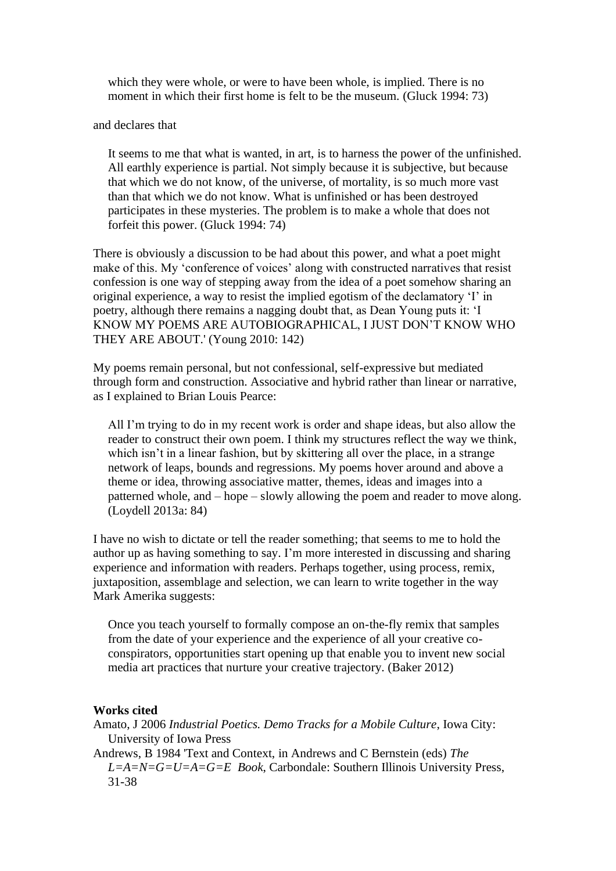which they were whole, or were to have been whole, is implied. There is no moment in which their first home is felt to be the museum. (Gluck 1994: 73)

#### and declares that

It seems to me that what is wanted, in art, is to harness the power of the unfinished. All earthly experience is partial. Not simply because it is subjective, but because that which we do not know, of the universe, of mortality, is so much more vast than that which we do not know. What is unfinished or has been destroyed participates in these mysteries. The problem is to make a whole that does not forfeit this power. (Gluck 1994: 74)

There is obviously a discussion to be had about this power, and what a poet might make of this. My 'conference of voices' along with constructed narratives that resist confession is one way of stepping away from the idea of a poet somehow sharing an original experience, a way to resist the implied egotism of the declamatory 'I' in poetry, although there remains a nagging doubt that, as Dean Young puts it: 'I KNOW MY POEMS ARE AUTOBIOGRAPHICAL, I JUST DON'T KNOW WHO THEY ARE ABOUT.' (Young 2010: 142)

My poems remain personal, but not confessional, self-expressive but mediated through form and construction. Associative and hybrid rather than linear or narrative, as I explained to Brian Louis Pearce:

All I'm trying to do in my recent work is order and shape ideas, but also allow the reader to construct their own poem. I think my structures reflect the way we think, which isn't in a linear fashion, but by skittering all over the place, in a strange network of leaps, bounds and regressions. My poems hover around and above a theme or idea, throwing associative matter, themes, ideas and images into a patterned whole, and – hope – slowly allowing the poem and reader to move along. (Loydell 2013a: 84)

I have no wish to dictate or tell the reader something; that seems to me to hold the author up as having something to say. I'm more interested in discussing and sharing experience and information with readers. Perhaps together, using process, remix, juxtaposition, assemblage and selection, we can learn to write together in the way Mark Amerika suggests:

Once you teach yourself to formally compose an on-the-fly remix that samples from the date of your experience and the experience of all your creative coconspirators, opportunities start opening up that enable you to invent new social media art practices that nurture your creative trajectory. (Baker 2012)

#### **Works cited**

Amato, J 2006 *Industrial Poetics. Demo Tracks for a Mobile Culture*, Iowa City: University of Iowa Press

Andrews, B 1984 'Text and Context, in Andrews and C Bernstein (eds) *The L=A=N=G=U=A=G=E Book*, Carbondale: Southern Illinois University Press, 31-38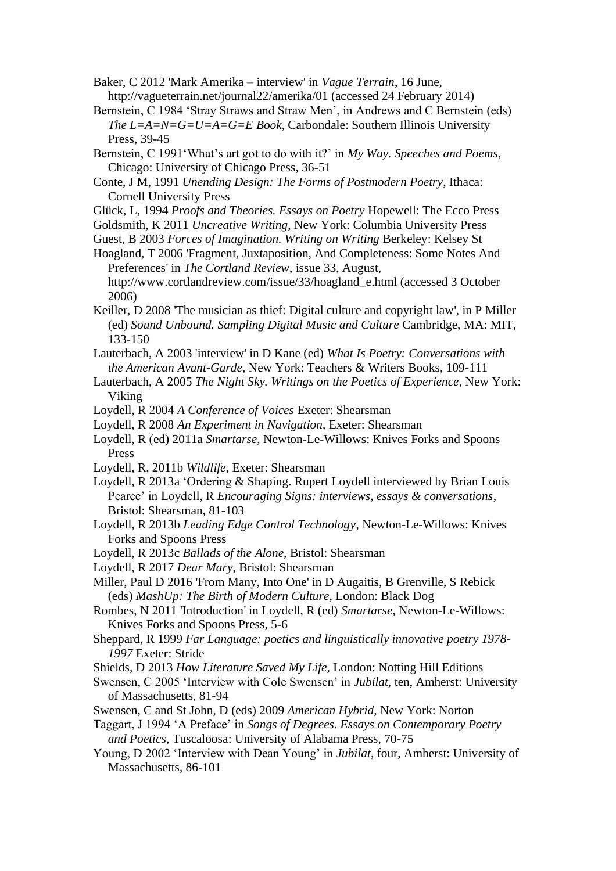- Baker, C 2012 'Mark Amerika interview' in *Vague Terrain*, 16 June, http://vagueterrain.net/journal22/amerika/01 (accessed 24 February 2014)
- Bernstein, C 1984 'Stray Straws and Straw Men', in Andrews and C Bernstein (eds) *The L=A=N=G=U=A=G=E Book*, Carbondale: Southern Illinois University Press, 39-45
- Bernstein, C 1991'What's art got to do with it?' in *My Way. Speeches and Poems,* Chicago: University of Chicago Press, 36-51
- Conte, J M, 1991 *Unending Design: The Forms of Postmodern Poetry*, Ithaca: Cornell University Press
- Glück, L, 1994 *Proofs and Theories. Essays on Poetry* Hopewell: The Ecco Press
- Goldsmith, K 2011 *Uncreative Writing,* New York: Columbia University Press
- Guest, B 2003 *Forces of Imagination. Writing on Writing* Berkeley: Kelsey St
- Hoagland, T 2006 'Fragment, Juxtaposition, And Completeness: Some Notes And Preferences' in *The Cortland Review*, issue 33, August, http://www.cortlandreview.com/issue/33/hoagland\_e.html (accessed 3 October 2006)
- Keiller, D 2008 'The musician as thief: Digital culture and copyright law', in P Miller (ed) *Sound Unbound. Sampling Digital Music and Culture* Cambridge, MA: MIT, 133-150

Lauterbach, A 2003 'interview' in D Kane (ed) *What Is Poetry: Conversations with the American Avant-Garde,* New York: Teachers & Writers Books, 109-111

- Lauterbach, A 2005 *The Night Sky. Writings on the Poetics of Experience,* New York: Viking
- Loydell, R 2004 *A Conference of Voices* Exeter: Shearsman
- Loydell, R 2008 *An Experiment in Navigation*, Exeter: Shearsman
- Loydell, R (ed) 2011a *Smartarse,* Newton-Le-Willows: Knives Forks and Spoons Press
- Loydell, R, 2011b *Wildlife,* Exeter: Shearsman
- Loydell, R 2013a 'Ordering & Shaping. Rupert Loydell interviewed by Brian Louis Pearce' in Loydell, R *Encouraging Signs: interviews, essays & conversations,* Bristol: Shearsman, 81-103
- Loydell, R 2013b *Leading Edge Control Technology*, Newton-Le-Willows: Knives Forks and Spoons Press
- Loydell, R 2013c *Ballads of the Alone,* Bristol: Shearsman
- Loydell, R 2017 *Dear Mary*, Bristol: Shearsman
- Miller, Paul D 2016 'From Many, Into One' in D Augaitis, B Grenville, S Rebick (eds) *MashUp: The Birth of Modern Culture*, London: Black Dog
- Rombes, N 2011 'Introduction' in Loydell, R (ed) *Smartarse,* Newton-Le-Willows: Knives Forks and Spoons Press, 5-6
- Sheppard, R 1999 *Far Language: poetics and linguistically innovative poetry 1978- 1997* Exeter: Stride
- Shields, D 2013 *How Literature Saved My Life,* London: Notting Hill Editions
- Swensen, C 2005 'Interview with Cole Swensen' in *Jubilat*, ten, Amherst: University of Massachusetts, 81-94

Swensen, C and St John, D (eds) 2009 *American Hybrid,* New York: Norton

- Taggart, J 1994 'A Preface' in *Songs of Degrees. Essays on Contemporary Poetry and Poetics*, Tuscaloosa: University of Alabama Press, 70-75
- Young, D 2002 'Interview with Dean Young' in *Jubilat*, four, Amherst: University of Massachusetts, 86-101